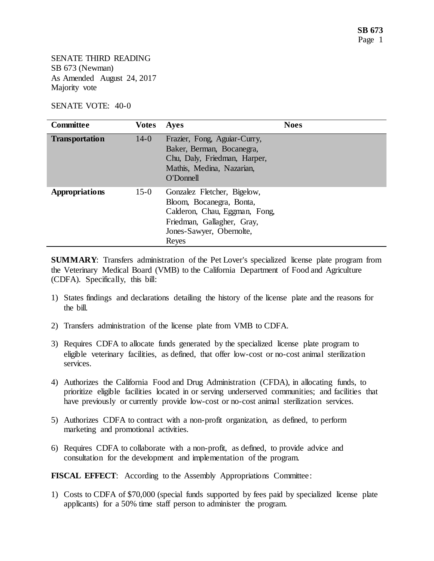SENATE THIRD READING SB 673 (Newman) As Amended August 24, 2017 Majority vote

SENATE VOTE: 40-0

| <b>Committee</b>      | <b>Votes</b> | <b>Ayes</b>                                                                                                                                                 | <b>Noes</b> |
|-----------------------|--------------|-------------------------------------------------------------------------------------------------------------------------------------------------------------|-------------|
| <b>Transportation</b> | $14-0$       | Frazier, Fong, Aguiar-Curry,<br>Baker, Berman, Bocanegra,<br>Chu, Daly, Friedman, Harper,<br>Mathis, Medina, Nazarian,<br>O'Donnell                         |             |
| <b>Appropriations</b> | $15-0$       | Gonzalez Fletcher, Bigelow,<br>Bloom, Bocanegra, Bonta,<br>Calderon, Chau, Eggman, Fong,<br>Friedman, Gallagher, Gray,<br>Jones-Sawyer, Obernolte,<br>Reyes |             |

**SUMMARY:** Transfers administration of the Pet Lover's specialized license plate program from the Veterinary Medical Board (VMB) to the California Department of Food and Agriculture (CDFA). Specifically, this bill:

- 1) States findings and declarations detailing the history of the license plate and the reasons for the bill.
- 2) Transfers administration of the license plate from VMB to CDFA.
- 3) Requires CDFA to allocate funds generated by the specialized license plate program to eligible veterinary facilities, as defined, that offer low-cost or no-cost animal sterilization services.
- 4) Authorizes the California Food and Drug Administration (CFDA), in allocating funds, to prioritize eligible facilities located in or serving underserved communities; and facilities that have previously or currently provide low-cost or no-cost animal sterilization services.
- 5) Authorizes CDFA to contract with a non-profit organization, as defined, to perform marketing and promotional activities.
- 6) Requires CDFA to collaborate with a non-profit, as defined, to provide advice and consultation for the development and implementation of the program.

**FISCAL EFFECT**: According to the Assembly Appropriations Committee:

1) Costs to CDFA of \$70,000 (special funds supported by fees paid by specialized license plate applicants) for a 50% time staff person to administer the program.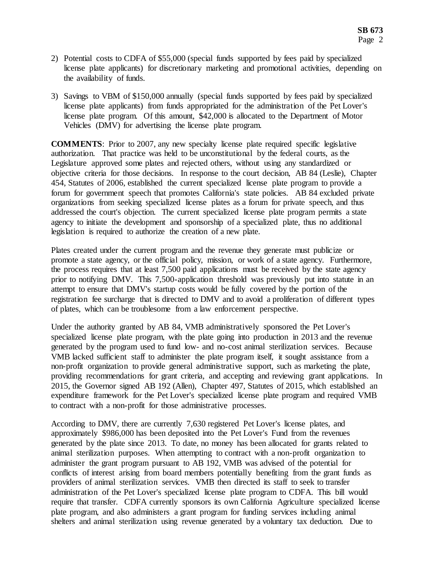- 2) Potential costs to CDFA of \$55,000 (special funds supported by fees paid by specialized license plate applicants) for discretionary marketing and promotional activities, depending on the availability of funds.
- 3) Savings to VBM of \$150,000 annually (special funds supported by fees paid by specialized license plate applicants) from funds appropriated for the administration of the Pet Lover's license plate program. Of this amount, \$42,000 is allocated to the Department of Motor Vehicles (DMV) for advertising the license plate program.

**COMMENTS**: Prior to 2007, any new specialty license plate required specific legislative authorization. That practice was held to be unconstitutional by the federal courts, as the Legislature approved some plates and rejected others, without using any standardized or objective criteria for those decisions. In response to the court decision, AB 84 (Leslie), Chapter 454, Statutes of 2006, established the current specialized license plate program to provide a forum for government speech that promotes California's state policies. AB 84 excluded private organizations from seeking specialized license plates as a forum for private speech, and thus addressed the court's objection. The current specialized license plate program permits a state agency to initiate the development and sponsorship of a specialized plate, thus no additional legislation is required to authorize the creation of a new plate.

Plates created under the current program and the revenue they generate must publicize or promote a state agency, or the official policy, mission, or work of a state agency. Furthermore, the process requires that at least 7,500 paid applications must be received by the state agency prior to notifying DMV. This 7,500-application threshold was previously put into statute in an attempt to ensure that DMV's startup costs would be fully covered by the portion of the registration fee surcharge that is directed to DMV and to avoid a proliferation of different types of plates, which can be troublesome from a law enforcement perspective.

Under the authority granted by AB 84, VMB administratively sponsored the Pet Lover's specialized license plate program, with the plate going into production in 2013 and the revenue generated by the program used to fund low- and no-cost animal sterilization services. Because VMB lacked sufficient staff to administer the plate program itself, it sought assistance from a non-profit organization to provide general administrative support, such as marketing the plate, providing recommendations for grant criteria, and accepting and reviewing grant applications. In 2015, the Governor signed AB 192 (Allen), Chapter 497, Statutes of 2015, which established an expenditure framework for the Pet Lover's specialized license plate program and required VMB to contract with a non-profit for those administrative processes.

According to DMV, there are currently 7,630 registered Pet Lover's license plates, and approximately \$986,000 has been deposited into the Pet Lover's Fund from the revenues generated by the plate since 2013. To date, no money has been allocated for grants related to animal sterilization purposes. When attempting to contract with a non-profit organization to administer the grant program pursuant to AB 192, VMB was advised of the potential for conflicts of interest arising from board members potentially benefiting from the grant funds as providers of animal sterilization services. VMB then directed its staff to seek to transfer administration of the Pet Lover's specialized license plate program to CDFA. This bill would require that transfer. CDFA currently sponsors its own California Agriculture specialized license plate program, and also administers a grant program for funding services including animal shelters and animal sterilization using revenue generated by a voluntary tax deduction. Due to